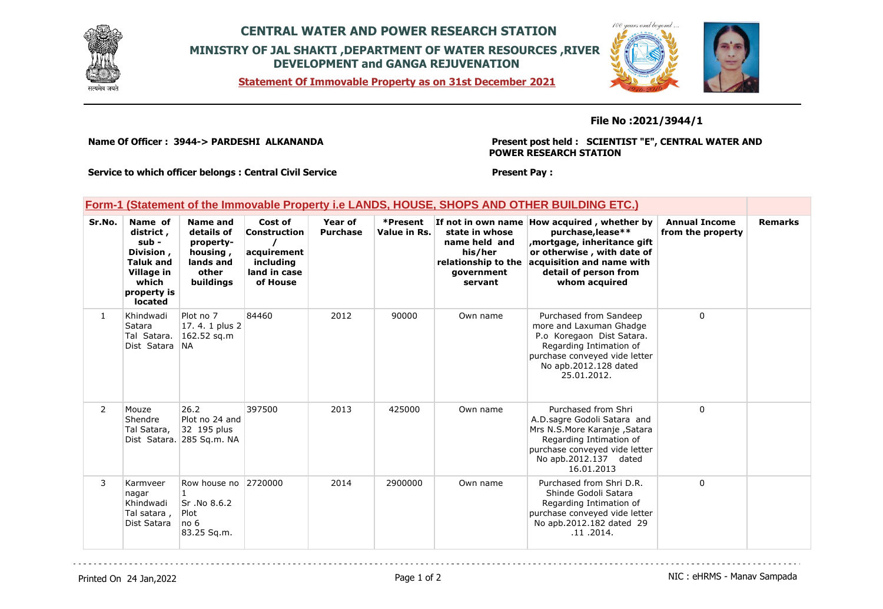

## **CENTRAL WATER AND POWER RESEARCH STATION MINISTRY OF JAL SHAKTI ,DEPARTMENT OF WATER RESOURCES ,RIVER DEVELOPMENT and GANGA REJUVENATION**

**Statement Of Immovable Property as on 31st December 2021**



## **File No :2021/3944/1**

**Name Of Officer : 3944-> PARDESHI ALKANANDA** 

**Present post held : SCIENTIST "E", CENTRAL WATER AND POWER RESEARCH STATION**

**Service to which officer belongs : Central Civil Service**

## **Present Pay :**

|  |  |  | $C_2$ No. Now at Now and Castel Vasuel through Tension over and Hauten individual desired to Annual Tension |  |  |
|--|--|--|-------------------------------------------------------------------------------------------------------------|--|--|
|  |  |  | Form-1 (Statement of the Immovable Property i.e LANDS, HOUSE, SHOPS AND OTHER BUILDING ETC.)                |  |  |

| Sr.No.         | Name of<br>district,<br>sub -<br>Division,<br><b>Taluk and</b><br>Village in<br>which<br>property is<br><b>located</b> | Name and<br>details of<br>property-<br>housing,<br>lands and<br>other<br>buildings | Cost of<br>Construction<br>acquirement<br>including<br>land in case<br>of House | <b>Year of</b><br><b>Purchase</b> | *Present<br>Value in Rs. | state in whose<br>name held and<br>his/her<br>relationship to the<br>government<br>servant | If not in own name How acquired, whether by<br>purchase, lease**<br>mortgage, inheritance gift,<br>or otherwise, with date of<br>acquisition and name with<br>detail of person from<br>whom acquired | <b>Annual Income</b><br>from the property | <b>Remarks</b> |
|----------------|------------------------------------------------------------------------------------------------------------------------|------------------------------------------------------------------------------------|---------------------------------------------------------------------------------|-----------------------------------|--------------------------|--------------------------------------------------------------------------------------------|------------------------------------------------------------------------------------------------------------------------------------------------------------------------------------------------------|-------------------------------------------|----------------|
| $\mathbf{1}$   | Khindwadi<br>Satara<br>Tal Satara.<br>Dist Satara NA                                                                   | Plot no 7<br>17.4.1 plus 2<br>162.52 sq.m                                          | 84460                                                                           | 2012                              | 90000                    | Own name                                                                                   | Purchased from Sandeep<br>more and Laxuman Ghadge<br>P.o Koregaon Dist Satara.<br>Regarding Intimation of<br>purchase conveyed vide letter<br>No apb.2012.128 dated<br>25.01.2012.                   | 0                                         |                |
| $\overline{2}$ | Mouze<br>Shendre<br>Tal Satara,                                                                                        | 26.2<br>Plot no 24 and<br>32 195 plus<br>Dist Satara. 285 Sq.m. NA                 | 397500                                                                          | 2013                              | 425000                   | Own name                                                                                   | Purchased from Shri<br>A.D. sagre Godoli Satara and<br>Mrs N.S.More Karanje, Satara<br>Regarding Intimation of<br>purchase conveyed vide letter<br>No apb.2012.137 dated<br>16.01.2013               | 0                                         |                |
| 3              | Karmveer<br>nagar<br>Khindwadi<br>Tal satara ,<br>Dist Satara                                                          | Row house no 2720000<br>Sr.No 8.6.2<br>Plot<br>no <sub>6</sub><br>83.25 Sq.m.      |                                                                                 | 2014                              | 2900000                  | Own name                                                                                   | Purchased from Shri D.R.<br>Shinde Godoli Satara<br>Regarding Intimation of<br>purchase conveyed vide letter<br>No apb.2012.182 dated 29<br>.11.2014.                                                | 0                                         |                |